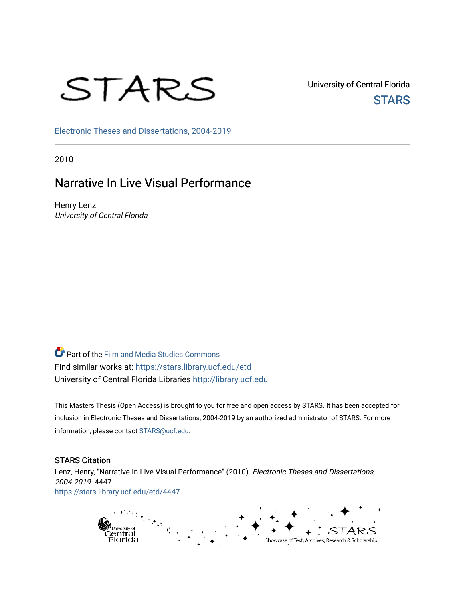# STARS

University of Central Florida **STARS** 

[Electronic Theses and Dissertations, 2004-2019](https://stars.library.ucf.edu/etd) 

2010

# Narrative In Live Visual Performance

Henry Lenz University of Central Florida

Part of the [Film and Media Studies Commons](http://network.bepress.com/hgg/discipline/563?utm_source=stars.library.ucf.edu%2Fetd%2F4447&utm_medium=PDF&utm_campaign=PDFCoverPages)  Find similar works at: <https://stars.library.ucf.edu/etd> University of Central Florida Libraries [http://library.ucf.edu](http://library.ucf.edu/) 

This Masters Thesis (Open Access) is brought to you for free and open access by STARS. It has been accepted for inclusion in Electronic Theses and Dissertations, 2004-2019 by an authorized administrator of STARS. For more information, please contact [STARS@ucf.edu.](mailto:STARS@ucf.edu)

#### STARS Citation

Lenz, Henry, "Narrative In Live Visual Performance" (2010). Electronic Theses and Dissertations, 2004-2019. 4447. [https://stars.library.ucf.edu/etd/4447](https://stars.library.ucf.edu/etd/4447?utm_source=stars.library.ucf.edu%2Fetd%2F4447&utm_medium=PDF&utm_campaign=PDFCoverPages) 

> $\mathcal{F}_{\mathcal{F}_{\mathcal{A},\mathcal{C}}}$ p<sub>university of</sub><br>Central<br>Florida Showcase of Text, Archives, Research & Scholarship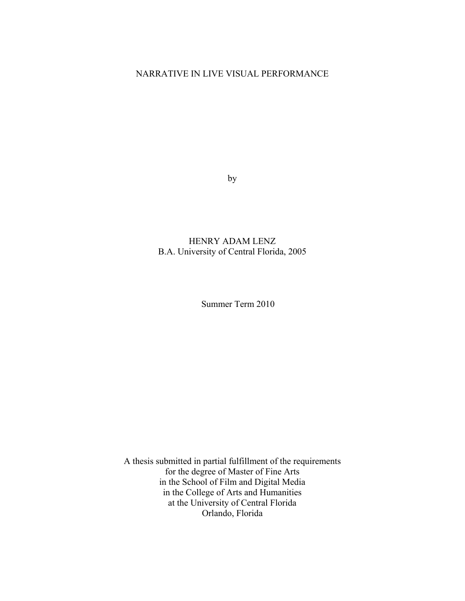# NARRATIVE IN LIVE VISUAL PERFORMANCE

by

# HENRY ADAM LENZ B.A. University of Central Florida, 2005

Summer Term 2010

A thesis submitted in partial fulfillment of the requirements for the degree of Master of Fine Arts in the School of Film and Digital Media in the College of Arts and Humanities at the University of Central Florida Orlando, Florida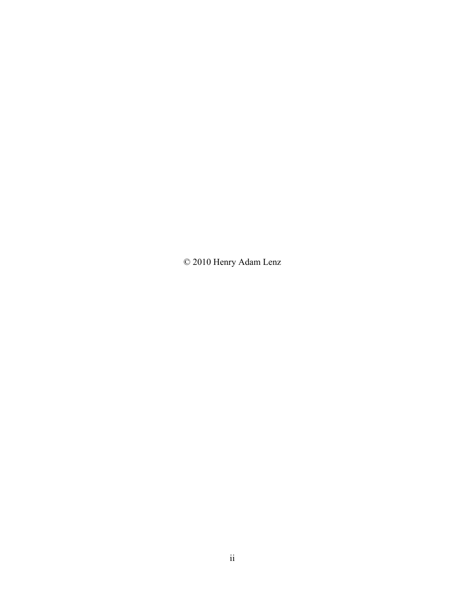© 2010 Henry Adam Lenz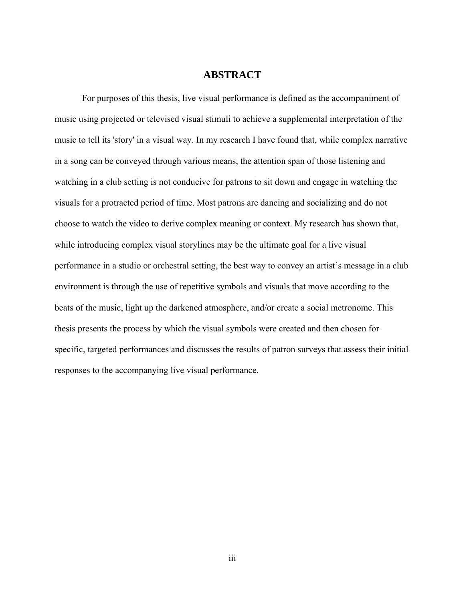#### **ABSTRACT**

For purposes of this thesis, live visual performance is defined as the accompaniment of music using projected or televised visual stimuli to achieve a supplemental interpretation of the music to tell its 'story' in a visual way. In my research I have found that, while complex narrative in a song can be conveyed through various means, the attention span of those listening and watching in a club setting is not conducive for patrons to sit down and engage in watching the visuals for a protracted period of time. Most patrons are dancing and socializing and do not choose to watch the video to derive complex meaning or context. My research has shown that, while introducing complex visual storylines may be the ultimate goal for a live visual performance in a studio or orchestral setting, the best way to convey an artist's message in a club environment is through the use of repetitive symbols and visuals that move according to the beats of the music, light up the darkened atmosphere, and/or create a social metronome. This thesis presents the process by which the visual symbols were created and then chosen for specific, targeted performances and discusses the results of patron surveys that assess their initial responses to the accompanying live visual performance.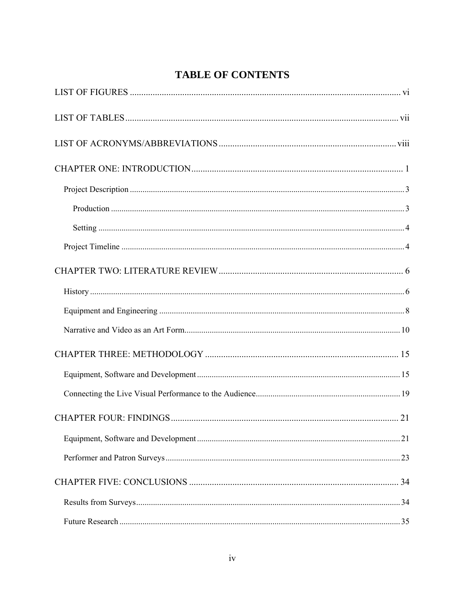# **TABLE OF CONTENTS**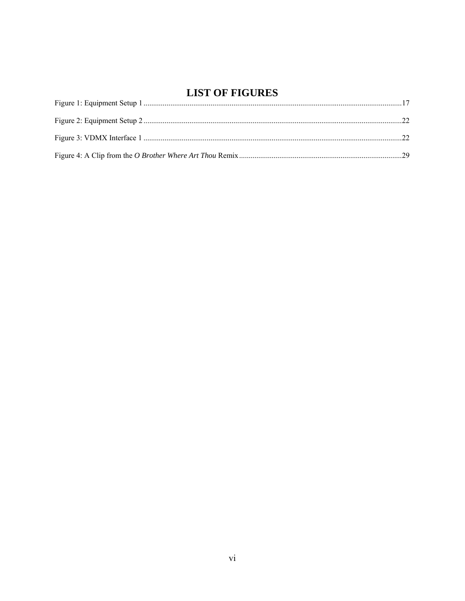# **LIST OF FIGURES**

<span id="page-6-0"></span>

| LIVI VI FRIUNEV |  |
|-----------------|--|
|                 |  |
|                 |  |
|                 |  |
|                 |  |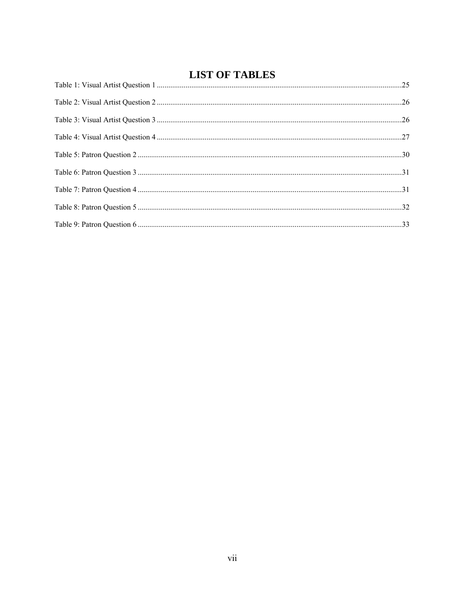# **LIST OF TABLES**

<span id="page-7-0"></span>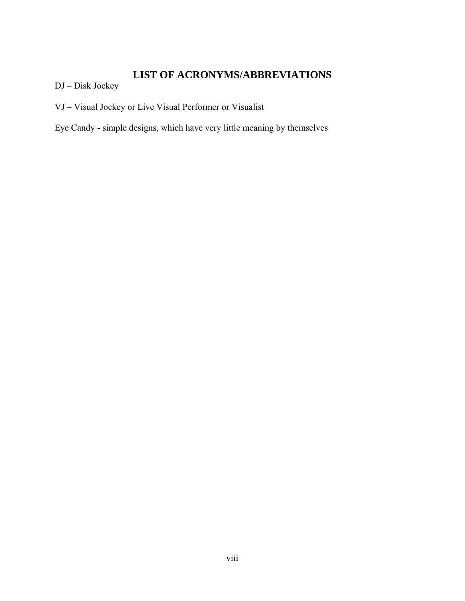# **LIST OF ACRONYMS/ABBREVIATIONS**

<span id="page-8-0"></span>DJ – Disk Jockey

VJ – Visual Jockey or Live Visual Performer or Visualist

Eye Candy - simple designs, which have very little meaning by themselves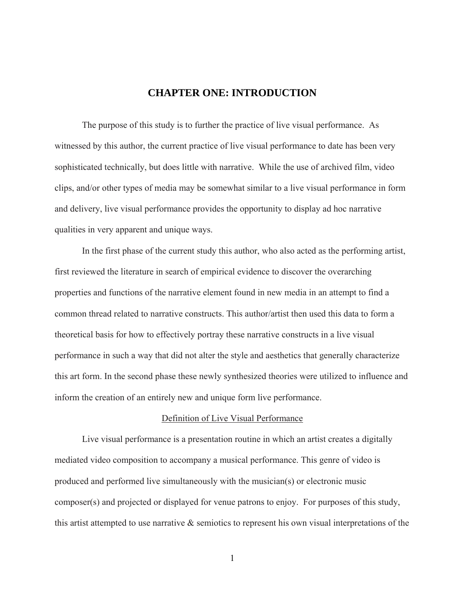# **CHAPTER ONE: INTRODUCTION**

<span id="page-9-0"></span>The purpose of this study is to further the practice of live visual performance. As witnessed by this author, the current practice of live visual performance to date has been very sophisticated technically, but does little with narrative. While the use of archived film, video clips, and/or other types of media may be somewhat similar to a live visual performance in form and delivery, live visual performance provides the opportunity to display ad hoc narrative qualities in very apparent and unique ways.

In the first phase of the current study this author, who also acted as the performing artist, first reviewed the literature in search of empirical evidence to discover the overarching properties and functions of the narrative element found in new media in an attempt to find a common thread related to narrative constructs. This author/artist then used this data to form a theoretical basis for how to effectively portray these narrative constructs in a live visual performance in such a way that did not alter the style and aesthetics that generally characterize this art form. In the second phase these newly synthesized theories were utilized to influence and inform the creation of an entirely new and unique form live performance.

#### Definition of Live Visual Performance

Live visual performance is a presentation routine in which an artist creates a digitally mediated video composition to accompany a musical performance. This genre of video is produced and performed live simultaneously with the musician(s) or electronic music composer(s) and projected or displayed for venue patrons to enjoy. For purposes of this study, this artist attempted to use narrative  $\&$  semiotics to represent his own visual interpretations of the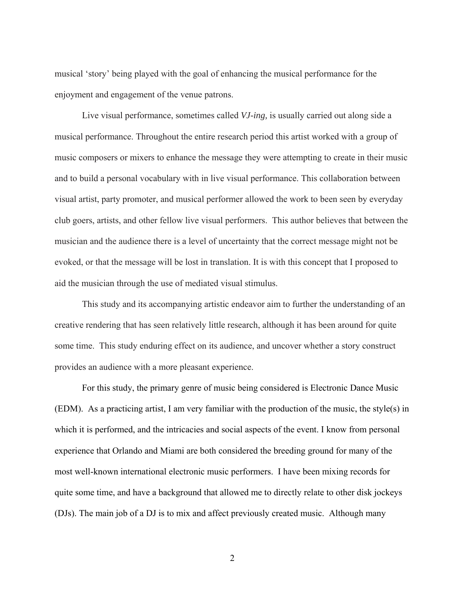musical 'story' being played with the goal of enhancing the musical performance for the enjoyment and engagement of the venue patrons.

Live visual performance, sometimes called *VJ-ing,* is usually carried out along side a musical performance. Throughout the entire research period this artist worked with a group of music composers or mixers to enhance the message they were attempting to create in their music and to build a personal vocabulary with in live visual performance. This collaboration between visual artist, party promoter, and musical performer allowed the work to been seen by everyday club goers, artists, and other fellow live visual performers. This author believes that between the musician and the audience there is a level of uncertainty that the correct message might not be evoked, or that the message will be lost in translation. It is with this concept that I proposed to aid the musician through the use of mediated visual stimulus.

This study and its accompanying artistic endeavor aim to further the understanding of an creative rendering that has seen relatively little research, although it has been around for quite some time. This study enduring effect on its audience, and uncover whether a story construct provides an audience with a more pleasant experience.

For this study, the primary genre of music being considered is Electronic Dance Music (EDM). As a practicing artist, I am very familiar with the production of the music, the style(s) in which it is performed, and the intricacies and social aspects of the event. I know from personal experience that Orlando and Miami are both considered the breeding ground for many of the most well-known international electronic music performers. I have been mixing records for quite some time, and have a background that allowed me to directly relate to other disk jockeys (DJs). The main job of a DJ is to mix and affect previously created music. Although many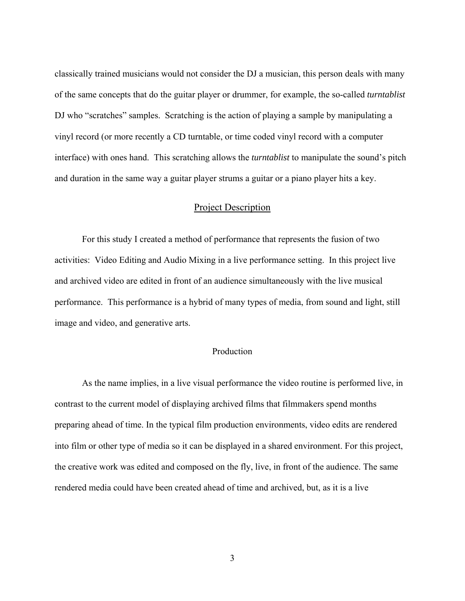<span id="page-11-0"></span>classically trained musicians would not consider the DJ a musician, this person deals with many of the same concepts that do the guitar player or drummer, for example, the so-called *turntablist* DJ who "scratches" samples. Scratching is the action of playing a sample by manipulating a vinyl record (or more recently a CD turntable, or time coded vinyl record with a computer interface) with ones hand. This scratching allows the *turntablist* to manipulate the sound's pitch and duration in the same way a guitar player strums a guitar or a piano player hits a key.

#### Project Description

For this study I created a method of performance that represents the fusion of two activities: Video Editing and Audio Mixing in a live performance setting. In this project live and archived video are edited in front of an audience simultaneously with the live musical performance. This performance is a hybrid of many types of media, from sound and light, still image and video, and generative arts.

#### Production

As the name implies, in a live visual performance the video routine is performed live, in contrast to the current model of displaying archived films that filmmakers spend months preparing ahead of time. In the typical film production environments, video edits are rendered into film or other type of media so it can be displayed in a shared environment. For this project, the creative work was edited and composed on the fly, live, in front of the audience. The same rendered media could have been created ahead of time and archived, but, as it is a live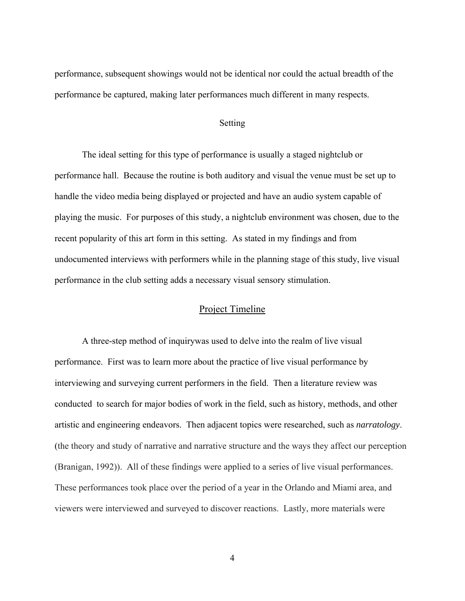<span id="page-12-0"></span>performance, subsequent showings would not be identical nor could the actual breadth of the performance be captured, making later performances much different in many respects.

#### Setting

The ideal setting for this type of performance is usually a staged nightclub or performance hall. Because the routine is both auditory and visual the venue must be set up to handle the video media being displayed or projected and have an audio system capable of playing the music. For purposes of this study, a nightclub environment was chosen, due to the recent popularity of this art form in this setting. As stated in my findings and from undocumented interviews with performers while in the planning stage of this study, live visual performance in the club setting adds a necessary visual sensory stimulation.

#### Project Timeline

A three-step method of inquirywas used to delve into the realm of live visual performance. First was to learn more about the practice of live visual performance by interviewing and surveying current performers in the field. Then a literature review was conducted to search for major bodies of work in the field, such as history, methods, and other artistic and engineering endeavors. Then adjacent topics were researched, such as *narratology*. (the theory and study of narrative and narrative structure and the ways they affect our perception (Branigan, 1992)). All of these findings were applied to a series of live visual performances. These performances took place over the period of a year in the Orlando and Miami area, and viewers were interviewed and surveyed to discover reactions. Lastly, more materials were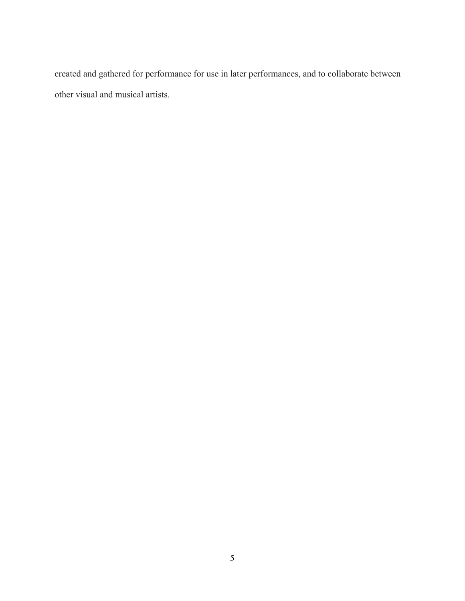created and gathered for performance for use in later performances, and to collaborate between other visual and musical artists.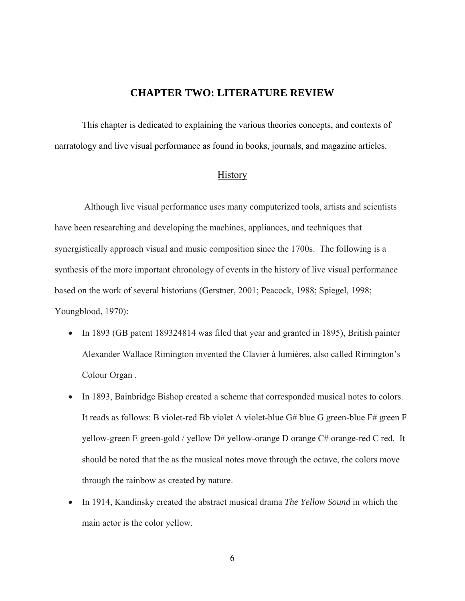## **CHAPTER TWO: LITERATURE REVIEW**

<span id="page-14-0"></span>This chapter is dedicated to explaining the various theories concepts, and contexts of narratology and live visual performance as found in books, journals, and magazine articles.

## **History**

Although live visual performance uses many computerized tools, artists and scientists have been researching and developing the machines, appliances, and techniques that synergistically approach visual and music composition since the 1700s. The following is a synthesis of the more important chronology of events in the history of live visual performance based on the work of several historians (Gerstner, 2001; Peacock, 1988; Spiegel, 1998; Youngblood, 1970):

- In 1893 (GB patent 189324814 was filed that year and granted in 1895), British painter Alexander Wallace Rimington invented the Clavier à lumières, also called Rimington's Colour Organ .
- In 1893, Bainbridge Bishop created a scheme that corresponded musical notes to colors. It reads as follows: B violet-red Bb violet A violet-blue G# blue G green-blue F# green F yellow-green E green-gold / yellow D# yellow-orange D orange C# orange-red C red. It should be noted that the as the musical notes move through the octave, the colors move through the rainbow as created by nature.
- In 1914, Kandinsky created the abstract musical drama *The Yellow Sound* in which the main actor is the color yellow.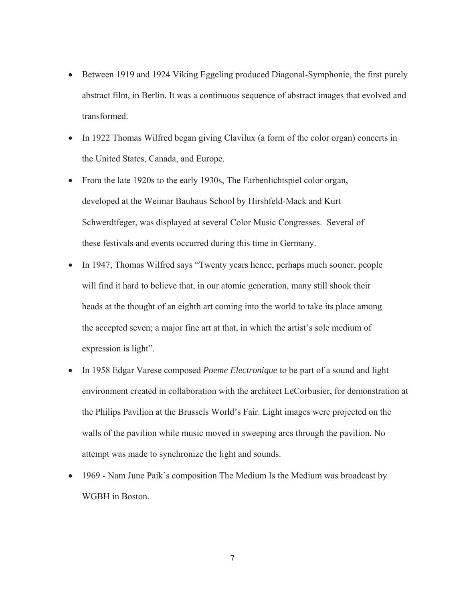- Between 1919 and 1924 Viking Eggeling produced Diagonal-Symphonie, the first purely abstract film, in Berlin. It was a continuous sequence of abstract images that evolved and transformed.
- In 1922 Thomas Wilfred began giving Clavilux (a form of the color organ) concerts in the United States, Canada, and Europe.
- From the late 1920s to the early 1930s, The Farbenlichtspiel color organ, developed at the Weimar Bauhaus School by Hirshfeld-Mack and Kurt Schwerdtfeger, was displayed at several Color Music Congresses. Several of these festivals and events occurred during this time in Germany.
- In 1947, Thomas Wilfred says "Twenty years hence, perhaps much sooner, people will find it hard to believe that, in our atomic generation, many still shook their heads at the thought of an eighth art coming into the world to take its place among the accepted seven; a major fine art at that, in which the artist's sole medium of expression is light".
- In 1958 Edgar Varese composed *Poeme Electronique* to be part of a sound and light environment created in collaboration with the architect LeCorbusier, for demonstration at the Philips Pavilion at the Brussels World's Fair. Light images were projected on the walls of the pavilion while music moved in sweeping arcs through the pavilion. No attempt was made to synchronize the light and sounds.
- 1969 Nam June Paik's composition The Medium Is the Medium was broadcast by WGBH in Boston.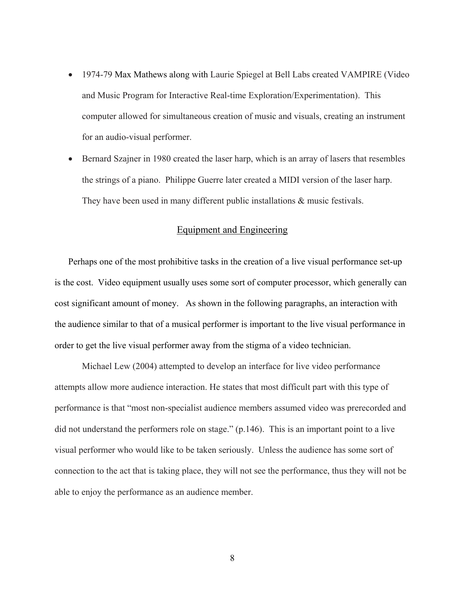- <span id="page-16-0"></span>• 1974-79 Max Mathews along with Laurie Spiegel at Bell Labs created VAMPIRE (Video and Music Program for Interactive Real-time Exploration/Experimentation). This computer allowed for simultaneous creation of music and visuals, creating an instrument for an audio-visual performer.
- Bernard Szajner in 1980 created the laser harp, which is an array of lasers that resembles the strings of a piano. Philippe Guerre later created a MIDI version of the laser harp. They have been used in many different public installations  $\&$  music festivals.

# Equipment and Engineering

Perhaps one of the most prohibitive tasks in the creation of a live visual performance set-up is the cost. Video equipment usually uses some sort of computer processor, which generally can cost significant amount of money. As shown in the following paragraphs, an interaction with the audience similar to that of a musical performer is important to the live visual performance in order to get the live visual performer away from the stigma of a video technician.

Michael Lew (2004) attempted to develop an interface for live video performance attempts allow more audience interaction. He states that most difficult part with this type of performance is that "most non-specialist audience members assumed video was prerecorded and did not understand the performers role on stage." (p.146). This is an important point to a live visual performer who would like to be taken seriously. Unless the audience has some sort of connection to the act that is taking place, they will not see the performance, thus they will not be able to enjoy the performance as an audience member.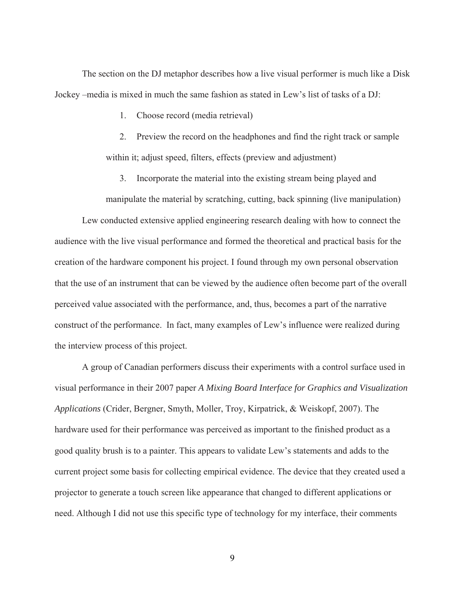The section on the DJ metaphor describes how a live visual performer is much like a Disk Jockey –media is mixed in much the same fashion as stated in Lew's list of tasks of a DJ:

1. Choose record (media retrieval)

2. Preview the record on the headphones and find the right track or sample within it; adjust speed, filters, effects (preview and adjustment)

3. Incorporate the material into the existing stream being played and

manipulate the material by scratching, cutting, back spinning (live manipulation)

Lew conducted extensive applied engineering research dealing with how to connect the audience with the live visual performance and formed the theoretical and practical basis for the creation of the hardware component his project. I found through my own personal observation that the use of an instrument that can be viewed by the audience often become part of the overall perceived value associated with the performance, and, thus, becomes a part of the narrative construct of the performance. In fact, many examples of Lew's influence were realized during the interview process of this project.

A group of Canadian performers discuss their experiments with a control surface used in visual performance in their 2007 paper *A Mixing Board Interface for Graphics and Visualization Applications* (Crider, Bergner, Smyth, Moller, Troy, Kirpatrick, & Weiskopf, 2007). The hardware used for their performance was perceived as important to the finished product as a good quality brush is to a painter. This appears to validate Lew's statements and adds to the current project some basis for collecting empirical evidence. The device that they created used a projector to generate a touch screen like appearance that changed to different applications or need. Although I did not use this specific type of technology for my interface, their comments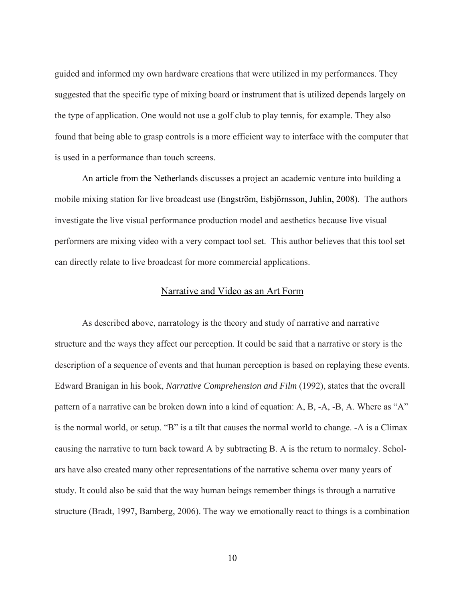<span id="page-18-0"></span>guided and informed my own hardware creations that were utilized in my performances. They suggested that the specific type of mixing board or instrument that is utilized depends largely on the type of application. One would not use a golf club to play tennis, for example. They also found that being able to grasp controls is a more efficient way to interface with the computer that is used in a performance than touch screens.

An article from the Netherlands discusses a project an academic venture into building a mobile mixing station for live broadcast use (Engström, Esbjörnsson, Juhlin, 2008). The authors investigate the live visual performance production model and aesthetics because live visual performers are mixing video with a very compact tool set. This author believes that this tool set can directly relate to live broadcast for more commercial applications.

#### Narrative and Video as an Art Form

As described above, narratology is the theory and study of narrative and narrative structure and the ways they affect our perception. It could be said that a narrative or story is the description of a sequence of events and that human perception is based on replaying these events. Edward Branigan in his book, *Narrative Comprehension and Film* (1992), states that the overall pattern of a narrative can be broken down into a kind of equation: A, B, -A, -B, A. Where as "A" is the normal world, or setup. "B" is a tilt that causes the normal world to change. -A is a Climax causing the narrative to turn back toward A by subtracting B. A is the return to normalcy. Scholars have also created many other representations of the narrative schema over many years of study. It could also be said that the way human beings remember things is through a narrative structure (Bradt, 1997, Bamberg, 2006). The way we emotionally react to things is a combination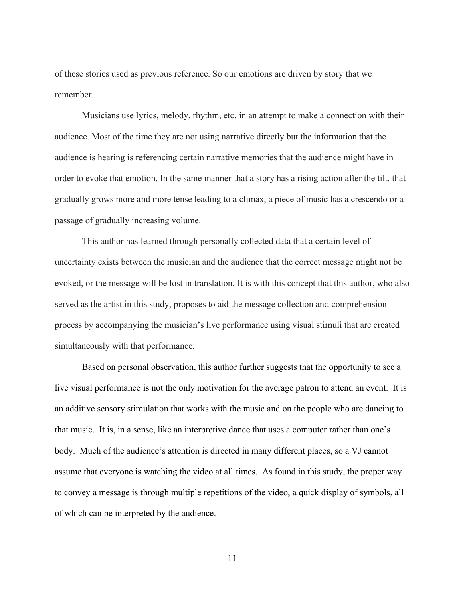of these stories used as previous reference. So our emotions are driven by story that we remember.

Musicians use lyrics, melody, rhythm, etc, in an attempt to make a connection with their audience. Most of the time they are not using narrative directly but the information that the audience is hearing is referencing certain narrative memories that the audience might have in order to evoke that emotion. In the same manner that a story has a rising action after the tilt, that gradually grows more and more tense leading to a climax, a piece of music has a crescendo or a passage of gradually increasing volume.

This author has learned through personally collected data that a certain level of uncertainty exists between the musician and the audience that the correct message might not be evoked, or the message will be lost in translation. It is with this concept that this author, who also served as the artist in this study, proposes to aid the message collection and comprehension process by accompanying the musician's live performance using visual stimuli that are created simultaneously with that performance.

 Based on personal observation, this author further suggests that the opportunity to see a live visual performance is not the only motivation for the average patron to attend an event. It is an additive sensory stimulation that works with the music and on the people who are dancing to that music. It is, in a sense, like an interpretive dance that uses a computer rather than one's body. Much of the audience's attention is directed in many different places, so a VJ cannot assume that everyone is watching the video at all times. As found in this study, the proper way to convey a message is through multiple repetitions of the video, a quick display of symbols, all of which can be interpreted by the audience.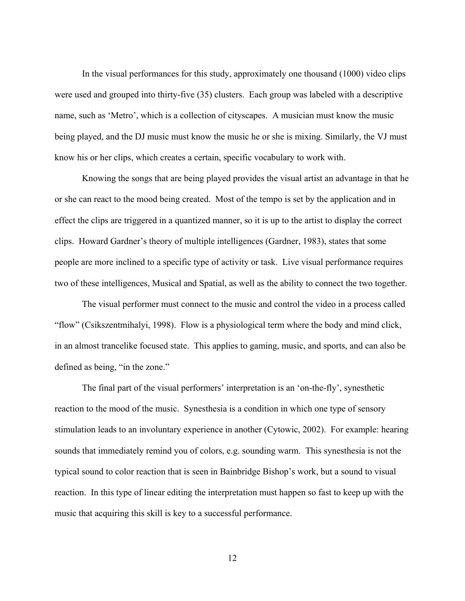In the visual performances for this study, approximately one thousand (1000) video clips were used and grouped into thirty-five (35) clusters. Each group was labeled with a descriptive name, such as 'Metro', which is a collection of cityscapes. A musician must know the music being played, and the DJ music must know the music he or she is mixing. Similarly, the VJ must know his or her clips, which creates a certain, specific vocabulary to work with.

 Knowing the songs that are being played provides the visual artist an advantage in that he or she can react to the mood being created. Most of the tempo is set by the application and in effect the clips are triggered in a quantized manner, so it is up to the artist to display the correct clips. Howard Gardner's theory of multiple intelligences (Gardner, 1983), states that some people are more inclined to a specific type of activity or task. Live visual performance requires two of these intelligences, Musical and Spatial, as well as the ability to connect the two together.

 The visual performer must connect to the music and control the video in a process called "flow" (Csikszentmihalyi, 1998). Flow is a physiological term where the body and mind click, in an almost trancelike focused state. This applies to gaming, music, and sports, and can also be defined as being, "in the zone."

 The final part of the visual performers' interpretation is an 'on-the-fly', synesthetic reaction to the mood of the music. Synesthesia is a condition in which one type of sensory stimulation leads to an involuntary experience in another (Cytowic, 2002). For example: hearing sounds that immediately remind you of colors, e.g. sounding warm. This synesthesia is not the typical sound to color reaction that is seen in Bainbridge Bishop's work, but a sound to visual reaction. In this type of linear editing the interpretation must happen so fast to keep up with the music that acquiring this skill is key to a successful performance.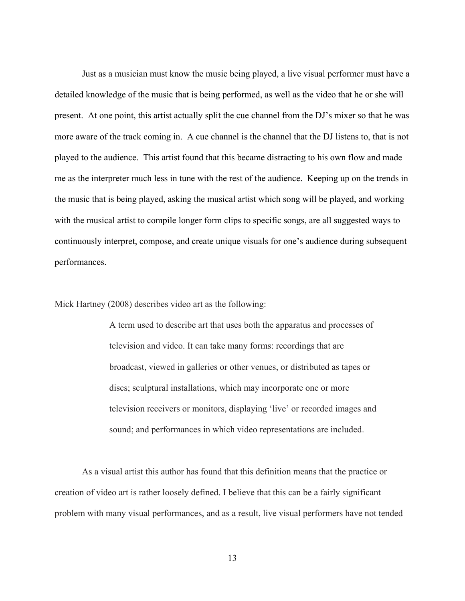Just as a musician must know the music being played, a live visual performer must have a detailed knowledge of the music that is being performed, as well as the video that he or she will present. At one point, this artist actually split the cue channel from the DJ's mixer so that he was more aware of the track coming in. A cue channel is the channel that the DJ listens to, that is not played to the audience. This artist found that this became distracting to his own flow and made me as the interpreter much less in tune with the rest of the audience. Keeping up on the trends in the music that is being played, asking the musical artist which song will be played, and working with the musical artist to compile longer form clips to specific songs, are all suggested ways to continuously interpret, compose, and create unique visuals for one's audience during subsequent performances.

Mick Hartney (2008) describes video art as the following:

A term used to describe art that uses both the apparatus and processes of television and video. It can take many forms: recordings that are broadcast, viewed in galleries or other venues, or distributed as tapes or discs; sculptural installations, which may incorporate one or more television receivers or monitors, displaying 'live' or recorded images and sound; and performances in which video representations are included.

As a visual artist this author has found that this definition means that the practice or creation of video art is rather loosely defined. I believe that this can be a fairly significant problem with many visual performances, and as a result, live visual performers have not tended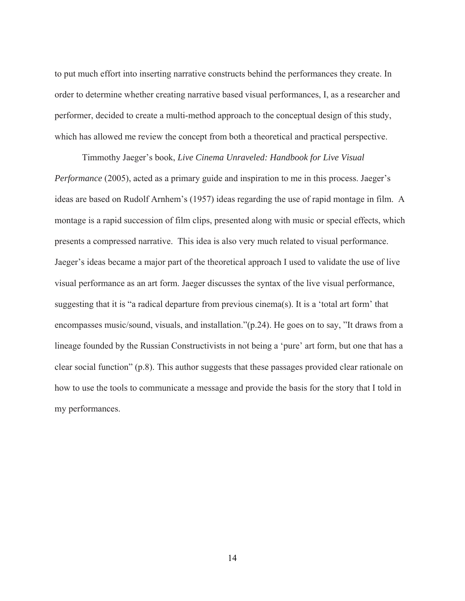to put much effort into inserting narrative constructs behind the performances they create. In order to determine whether creating narrative based visual performances, I, as a researcher and performer, decided to create a multi-method approach to the conceptual design of this study, which has allowed me review the concept from both a theoretical and practical perspective.

Timmothy Jaeger's book, *Live Cinema Unraveled: Handbook for Live Visual Performance* (2005), acted as a primary guide and inspiration to me in this process. Jaeger's ideas are based on Rudolf Arnhem's (1957) ideas regarding the use of rapid montage in film. A montage is a rapid succession of film clips, presented along with music or special effects, which presents a compressed narrative. This idea is also very much related to visual performance. Jaeger's ideas became a major part of the theoretical approach I used to validate the use of live visual performance as an art form. Jaeger discusses the syntax of the live visual performance, suggesting that it is "a radical departure from previous cinema(s). It is a 'total art form' that encompasses music/sound, visuals, and installation."(p.24). He goes on to say, "It draws from a lineage founded by the Russian Constructivists in not being a 'pure' art form, but one that has a clear social function" (p.8). This author suggests that these passages provided clear rationale on how to use the tools to communicate a message and provide the basis for the story that I told in my performances.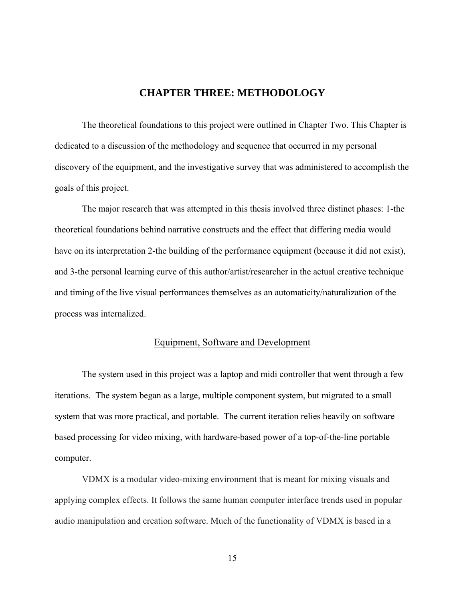## **CHAPTER THREE: METHODOLOGY**

<span id="page-23-0"></span>The theoretical foundations to this project were outlined in Chapter Two. This Chapter is dedicated to a discussion of the methodology and sequence that occurred in my personal discovery of the equipment, and the investigative survey that was administered to accomplish the goals of this project.

 The major research that was attempted in this thesis involved three distinct phases: 1-the theoretical foundations behind narrative constructs and the effect that differing media would have on its interpretation 2-the building of the performance equipment (because it did not exist), and 3-the personal learning curve of this author/artist/researcher in the actual creative technique and timing of the live visual performances themselves as an automaticity/naturalization of the process was internalized.

#### Equipment, Software and Development

The system used in this project was a laptop and midi controller that went through a few iterations. The system began as a large, multiple component system, but migrated to a small system that was more practical, and portable. The current iteration relies heavily on software based processing for video mixing, with hardware-based power of a top-of-the-line portable computer.

VDMX is a modular video-mixing environment that is meant for mixing visuals and applying complex effects. It follows the same human computer interface trends used in popular audio manipulation and creation software. Much of the functionality of VDMX is based in a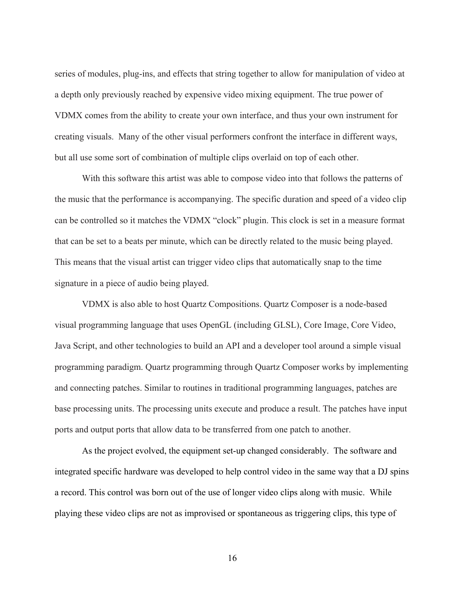series of modules, plug-ins, and effects that string together to allow for manipulation of video at a depth only previously reached by expensive video mixing equipment. The true power of VDMX comes from the ability to create your own interface, and thus your own instrument for creating visuals. Many of the other visual performers confront the interface in different ways, but all use some sort of combination of multiple clips overlaid on top of each other.

With this software this artist was able to compose video into that follows the patterns of the music that the performance is accompanying. The specific duration and speed of a video clip can be controlled so it matches the VDMX "clock" plugin. This clock is set in a measure format that can be set to a beats per minute, which can be directly related to the music being played. This means that the visual artist can trigger video clips that automatically snap to the time signature in a piece of audio being played.

VDMX is also able to host Quartz Compositions. Quartz Composer is a node-based visual programming language that uses OpenGL (including GLSL), Core Image, Core Video, Java Script, and other technologies to build an API and a developer tool around a simple visual programming paradigm. Quartz programming through Quartz Composer works by implementing and connecting patches. Similar to routines in traditional programming languages, patches are base processing units. The processing units execute and produce a result. The patches have input ports and output ports that allow data to be transferred from one patch to another.

As the project evolved, the equipment set-up changed considerably. The software and integrated specific hardware was developed to help control video in the same way that a DJ spins a record. This control was born out of the use of longer video clips along with music. While playing these video clips are not as improvised or spontaneous as triggering clips, this type of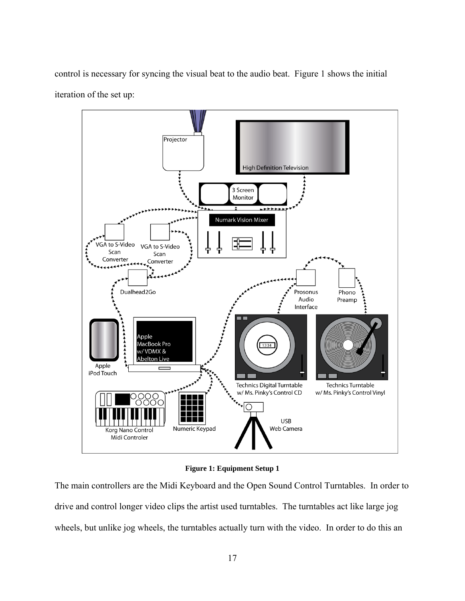<span id="page-25-0"></span>control is necessary for syncing the visual beat to the audio beat. Figure 1 shows the initial iteration of the set up:



**Figure 1: Equipment Setup 1** 

The main controllers are the Midi Keyboard and the Open Sound Control Turntables. In order to drive and control longer video clips the artist used turntables. The turntables act like large jog wheels, but unlike jog wheels, the turntables actually turn with the video. In order to do this an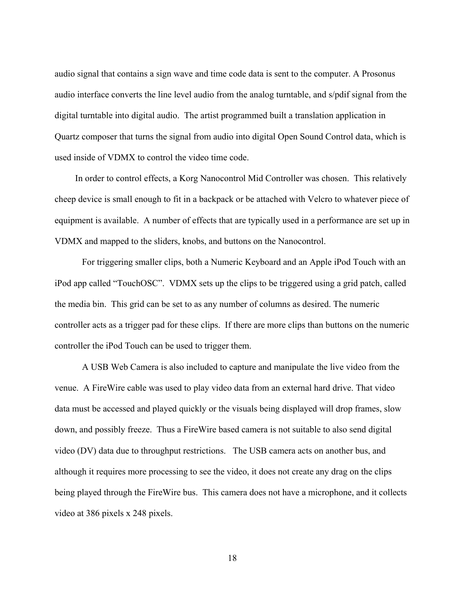audio signal that contains a sign wave and time code data is sent to the computer. A Prosonus audio interface converts the line level audio from the analog turntable, and s/pdif signal from the digital turntable into digital audio. The artist programmed built a translation application in Quartz composer that turns the signal from audio into digital Open Sound Control data, which is used inside of VDMX to control the video time code.

 In order to control effects, a Korg Nanocontrol Mid Controller was chosen. This relatively cheep device is small enough to fit in a backpack or be attached with Velcro to whatever piece of equipment is available. A number of effects that are typically used in a performance are set up in VDMX and mapped to the sliders, knobs, and buttons on the Nanocontrol.

 For triggering smaller clips, both a Numeric Keyboard and an Apple iPod Touch with an iPod app called "TouchOSC". VDMX sets up the clips to be triggered using a grid patch, called the media bin. This grid can be set to as any number of columns as desired. The numeric controller acts as a trigger pad for these clips. If there are more clips than buttons on the numeric controller the iPod Touch can be used to trigger them.

 A USB Web Camera is also included to capture and manipulate the live video from the venue. A FireWire cable was used to play video data from an external hard drive. That video data must be accessed and played quickly or the visuals being displayed will drop frames, slow down, and possibly freeze. Thus a FireWire based camera is not suitable to also send digital video (DV) data due to throughput restrictions. The USB camera acts on another bus, and although it requires more processing to see the video, it does not create any drag on the clips being played through the FireWire bus. This camera does not have a microphone, and it collects video at 386 pixels x 248 pixels.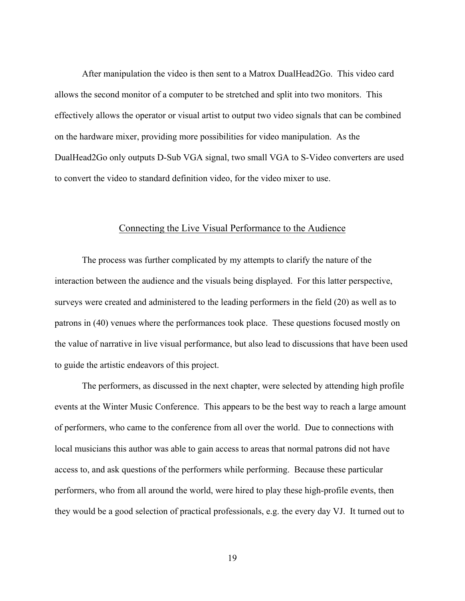<span id="page-27-0"></span> After manipulation the video is then sent to a Matrox DualHead2Go. This video card allows the second monitor of a computer to be stretched and split into two monitors. This effectively allows the operator or visual artist to output two video signals that can be combined on the hardware mixer, providing more possibilities for video manipulation. As the DualHead2Go only outputs D-Sub VGA signal, two small VGA to S-Video converters are used to convert the video to standard definition video, for the video mixer to use.

#### Connecting the Live Visual Performance to the Audience

 The process was further complicated by my attempts to clarify the nature of the interaction between the audience and the visuals being displayed. For this latter perspective, surveys were created and administered to the leading performers in the field (20) as well as to patrons in (40) venues where the performances took place. These questions focused mostly on the value of narrative in live visual performance, but also lead to discussions that have been used to guide the artistic endeavors of this project.

 The performers, as discussed in the next chapter, were selected by attending high profile events at the Winter Music Conference. This appears to be the best way to reach a large amount of performers, who came to the conference from all over the world. Due to connections with local musicians this author was able to gain access to areas that normal patrons did not have access to, and ask questions of the performers while performing. Because these particular performers, who from all around the world, were hired to play these high-profile events, then they would be a good selection of practical professionals, e.g. the every day VJ. It turned out to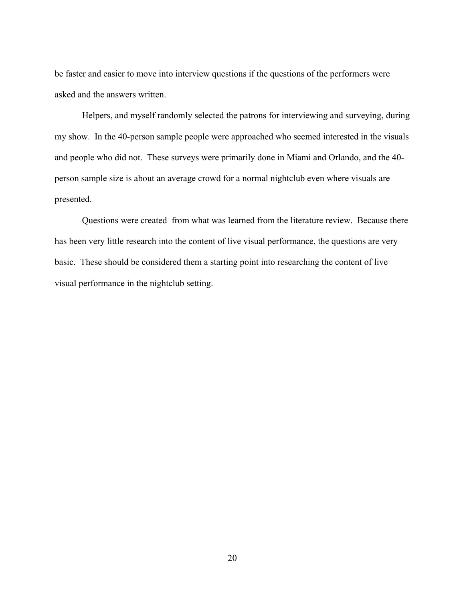be faster and easier to move into interview questions if the questions of the performers were asked and the answers written.

 Helpers, and myself randomly selected the patrons for interviewing and surveying, during my show. In the 40-person sample people were approached who seemed interested in the visuals and people who did not. These surveys were primarily done in Miami and Orlando, and the 40 person sample size is about an average crowd for a normal nightclub even where visuals are presented.

 Questions were created from what was learned from the literature review. Because there has been very little research into the content of live visual performance, the questions are very basic. These should be considered them a starting point into researching the content of live visual performance in the nightclub setting.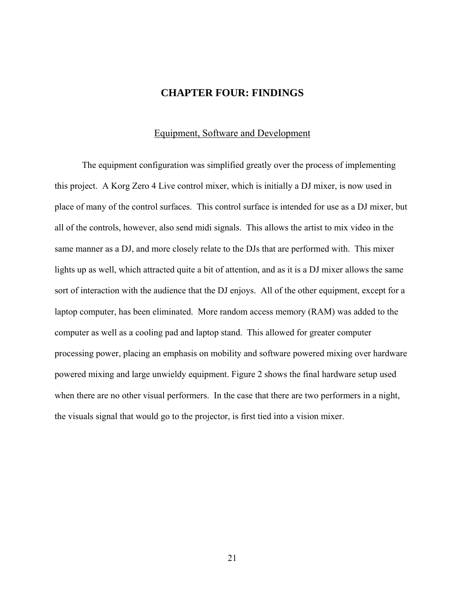# **CHAPTER FOUR: FINDINGS**

#### Equipment, Software and Development

<span id="page-29-0"></span> The equipment configuration was simplified greatly over the process of implementing this project. A Korg Zero 4 Live control mixer, which is initially a DJ mixer, is now used in place of many of the control surfaces. This control surface is intended for use as a DJ mixer, but all of the controls, however, also send midi signals. This allows the artist to mix video in the same manner as a DJ, and more closely relate to the DJs that are performed with. This mixer lights up as well, which attracted quite a bit of attention, and as it is a DJ mixer allows the same sort of interaction with the audience that the DJ enjoys. All of the other equipment, except for a laptop computer, has been eliminated. More random access memory (RAM) was added to the computer as well as a cooling pad and laptop stand. This allowed for greater computer processing power, placing an emphasis on mobility and software powered mixing over hardware powered mixing and large unwieldy equipment. Figure 2 shows the final hardware setup used when there are no other visual performers. In the case that there are two performers in a night, the visuals signal that would go to the projector, is first tied into a vision mixer.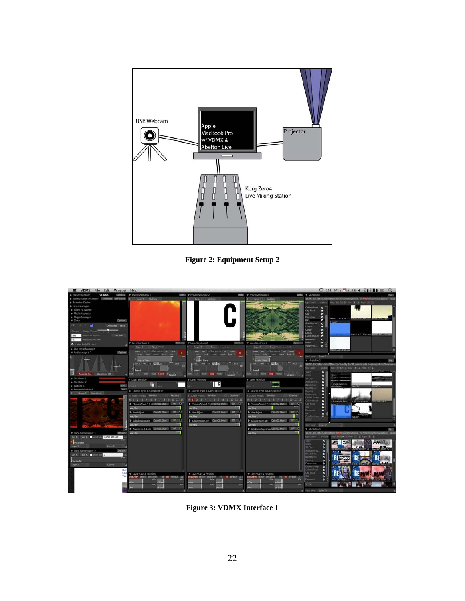<span id="page-30-0"></span>

**Figure 2: Equipment Setup 2** 



**Figure 3: VDMX Interface 1**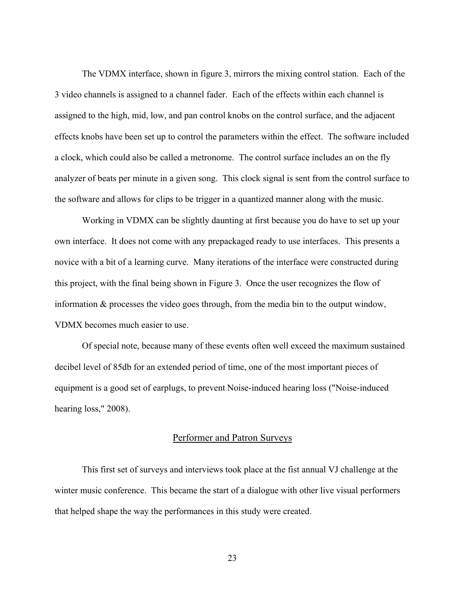<span id="page-31-0"></span> The VDMX interface, shown in figure 3, mirrors the mixing control station. Each of the 3 video channels is assigned to a channel fader. Each of the effects within each channel is assigned to the high, mid, low, and pan control knobs on the control surface, and the adjacent effects knobs have been set up to control the parameters within the effect. The software included a clock, which could also be called a metronome. The control surface includes an on the fly analyzer of beats per minute in a given song. This clock signal is sent from the control surface to the software and allows for clips to be trigger in a quantized manner along with the music.

 Working in VDMX can be slightly daunting at first because you do have to set up your own interface. It does not come with any prepackaged ready to use interfaces. This presents a novice with a bit of a learning curve. Many iterations of the interface were constructed during this project, with the final being shown in Figure 3. Once the user recognizes the flow of information & processes the video goes through, from the media bin to the output window, VDMX becomes much easier to use.

 Of special note, because many of these events often well exceed the maximum sustained decibel level of 85db for an extended period of time, one of the most important pieces of equipment is a good set of earplugs, to prevent Noise-induced hearing loss ("Noise-induced hearing loss," 2008).

#### Performer and Patron Surveys

 This first set of surveys and interviews took place at the fist annual VJ challenge at the winter music conference. This became the start of a dialogue with other live visual performers that helped shape the way the performances in this study were created.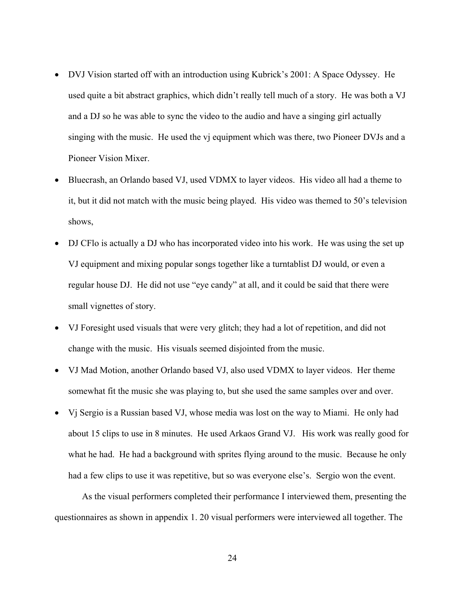- DVJ Vision started off with an introduction using Kubrick's 2001: A Space Odyssey. He used quite a bit abstract graphics, which didn't really tell much of a story. He was both a VJ and a DJ so he was able to sync the video to the audio and have a singing girl actually singing with the music. He used the vj equipment which was there, two Pioneer DVJs and a Pioneer Vision Mixer.
- Bluecrash, an Orlando based VJ, used VDMX to layer videos. His video all had a theme to it, but it did not match with the music being played. His video was themed to 50's television shows,
- DJ CFlo is actually a DJ who has incorporated video into his work. He was using the set up VJ equipment and mixing popular songs together like a turntablist DJ would, or even a regular house DJ. He did not use "eye candy" at all, and it could be said that there were small vignettes of story.
- VJ Foresight used visuals that were very glitch; they had a lot of repetition, and did not change with the music. His visuals seemed disjointed from the music.
- VJ Mad Motion, another Orlando based VJ, also used VDMX to layer videos. Her theme somewhat fit the music she was playing to, but she used the same samples over and over.
- Vj Sergio is a Russian based VJ, whose media was lost on the way to Miami. He only had about 15 clips to use in 8 minutes. He used Arkaos Grand VJ. His work was really good for what he had. He had a background with sprites flying around to the music. Because he only had a few clips to use it was repetitive, but so was everyone else's. Sergio won the event.

 As the visual performers completed their performance I interviewed them, presenting the questionnaires as shown in appendix 1. 20 visual performers were interviewed all together. The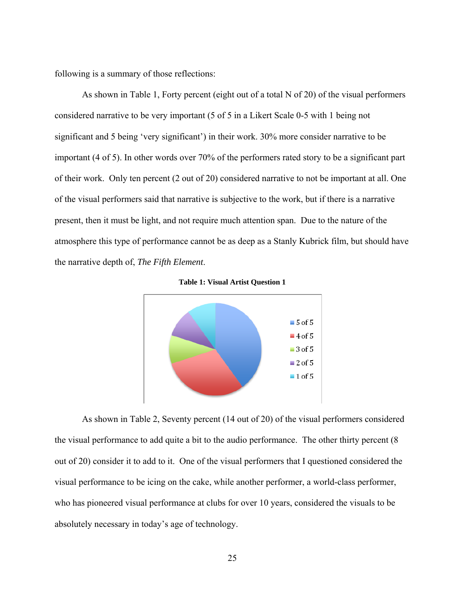<span id="page-33-0"></span>following is a summary of those reflections:

 As shown in Table 1, Forty percent (eight out of a total N of 20) of the visual performers considered narrative to be very important (5 of 5 in a Likert Scale 0-5 with 1 being not significant and 5 being 'very significant') in their work. 30% more consider narrative to be important (4 of 5). In other words over 70% of the performers rated story to be a significant part of their work. Only ten percent (2 out of 20) considered narrative to not be important at all. One of the visual performers said that narrative is subjective to the work, but if there is a narrative present, then it must be light, and not require much attention span. Due to the nature of the atmosphere this type of performance cannot be as deep as a Stanly Kubrick film, but should have the narrative depth of, *The Fifth Element*.



**Table 1: Visual Artist Question 1** 

 As shown in Table 2, Seventy percent (14 out of 20) of the visual performers considered the visual performance to add quite a bit to the audio performance. The other thirty percent (8 out of 20) consider it to add to it. One of the visual performers that I questioned considered the visual performance to be icing on the cake, while another performer, a world-class performer, who has pioneered visual performance at clubs for over 10 years, considered the visuals to be absolutely necessary in today's age of technology.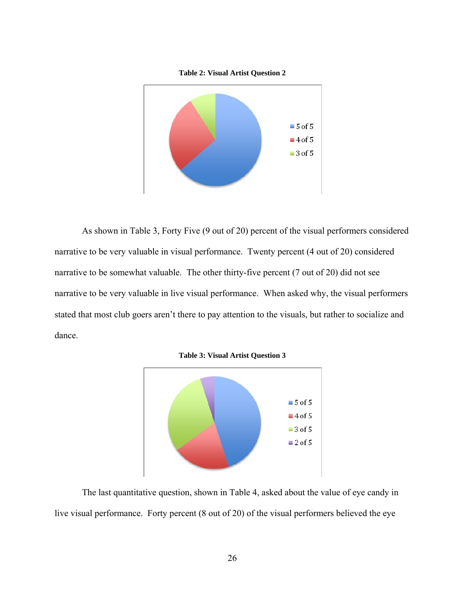

<span id="page-34-0"></span>

 As shown in Table 3, Forty Five (9 out of 20) percent of the visual performers considered narrative to be very valuable in visual performance. Twenty percent (4 out of 20) considered narrative to be somewhat valuable. The other thirty-five percent (7 out of 20) did not see narrative to be very valuable in live visual performance. When asked why, the visual performers stated that most club goers aren't there to pay attention to the visuals, but rather to socialize and dance.





 The last quantitative question, shown in Table 4, asked about the value of eye candy in live visual performance. Forty percent (8 out of 20) of the visual performers believed the eye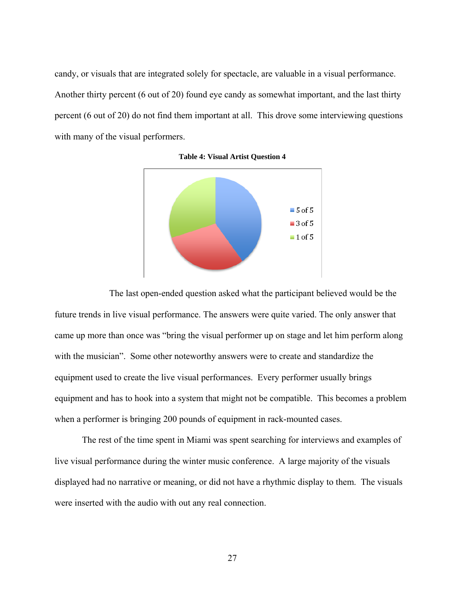<span id="page-35-0"></span>candy, or visuals that are integrated solely for spectacle, are valuable in a visual performance. Another thirty percent (6 out of 20) found eye candy as somewhat important, and the last thirty percent (6 out of 20) do not find them important at all. This drove some interviewing questions with many of the visual performers.





 The last open-ended question asked what the participant believed would be the future trends in live visual performance. The answers were quite varied. The only answer that came up more than once was "bring the visual performer up on stage and let him perform along with the musician". Some other noteworthy answers were to create and standardize the equipment used to create the live visual performances. Every performer usually brings equipment and has to hook into a system that might not be compatible. This becomes a problem when a performer is bringing 200 pounds of equipment in rack-mounted cases.

The rest of the time spent in Miami was spent searching for interviews and examples of live visual performance during the winter music conference. A large majority of the visuals displayed had no narrative or meaning, or did not have a rhythmic display to them. The visuals were inserted with the audio with out any real connection.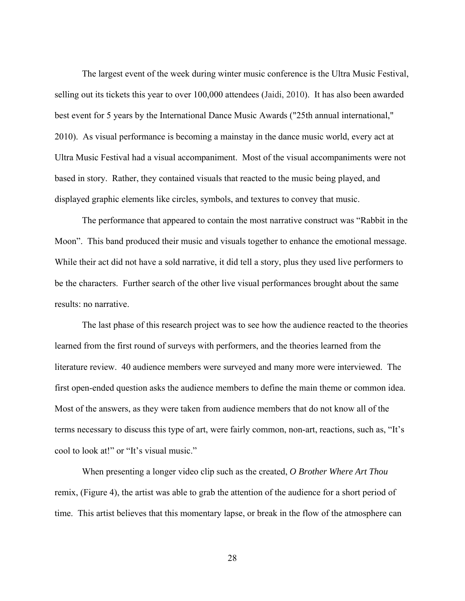The largest event of the week during winter music conference is the Ultra Music Festival, selling out its tickets this year to over 100,000 attendees (Jaidi, 2010). It has also been awarded best event for 5 years by the International Dance Music Awards ("25th annual international," 2010). As visual performance is becoming a mainstay in the dance music world, every act at Ultra Music Festival had a visual accompaniment. Most of the visual accompaniments were not based in story. Rather, they contained visuals that reacted to the music being played, and displayed graphic elements like circles, symbols, and textures to convey that music.

 The performance that appeared to contain the most narrative construct was "Rabbit in the Moon". This band produced their music and visuals together to enhance the emotional message. While their act did not have a sold narrative, it did tell a story, plus they used live performers to be the characters. Further search of the other live visual performances brought about the same results: no narrative.

 The last phase of this research project was to see how the audience reacted to the theories learned from the first round of surveys with performers, and the theories learned from the literature review. 40 audience members were surveyed and many more were interviewed. The first open-ended question asks the audience members to define the main theme or common idea. Most of the answers, as they were taken from audience members that do not know all of the terms necessary to discuss this type of art, were fairly common, non-art, reactions, such as, "It's cool to look at!" or "It's visual music."

 When presenting a longer video clip such as the created, *O Brother Where Art Thou* remix, (Figure 4), the artist was able to grab the attention of the audience for a short period of time. This artist believes that this momentary lapse, or break in the flow of the atmosphere can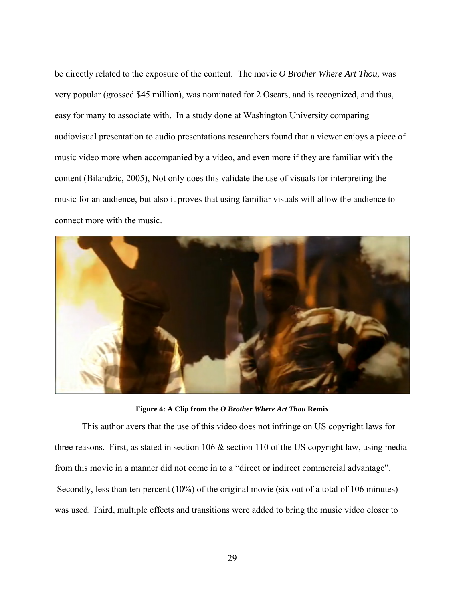<span id="page-37-0"></span>be directly related to the exposure of the content. The movie *O Brother Where Art Thou,* was very popular (grossed \$45 million), was nominated for 2 Oscars, and is recognized, and thus, easy for many to associate with. In a study done at Washington University comparing audiovisual presentation to audio presentations researchers found that a viewer enjoys a piece of music video more when accompanied by a video, and even more if they are familiar with the content (Bilandzic, 2005), Not only does this validate the use of visuals for interpreting the music for an audience, but also it proves that using familiar visuals will allow the audience to connect more with the music.



**Figure 4: A Clip from the** *O Brother Where Art Thou* **Remix** 

 This author avers that the use of this video does not infringe on US copyright laws for three reasons. First, as stated in section 106 & section 110 of the US copyright law, using media from this movie in a manner did not come in to a "direct or indirect commercial advantage". Secondly, less than ten percent (10%) of the original movie (six out of a total of 106 minutes) was used. Third, multiple effects and transitions were added to bring the music video closer to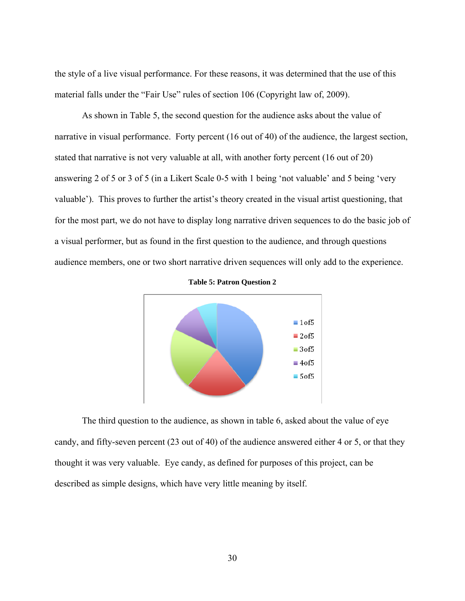<span id="page-38-0"></span>the style of a live visual performance. For these reasons, it was determined that the use of this material falls under the "Fair Use" rules of section 106 (Copyright law of, 2009).

As shown in Table 5, the second question for the audience asks about the value of narrative in visual performance. Forty percent (16 out of 40) of the audience, the largest section, stated that narrative is not very valuable at all, with another forty percent (16 out of 20) answering 2 of 5 or 3 of 5 (in a Likert Scale 0-5 with 1 being 'not valuable' and 5 being 'very valuable'). This proves to further the artist's theory created in the visual artist questioning, that for the most part, we do not have to display long narrative driven sequences to do the basic job of a visual performer, but as found in the first question to the audience, and through questions audience members, one or two short narrative driven sequences will only add to the experience.





 The third question to the audience, as shown in table 6, asked about the value of eye candy, and fifty-seven percent (23 out of 40) of the audience answered either 4 or 5, or that they thought it was very valuable. Eye candy, as defined for purposes of this project, can be described as simple designs, which have very little meaning by itself.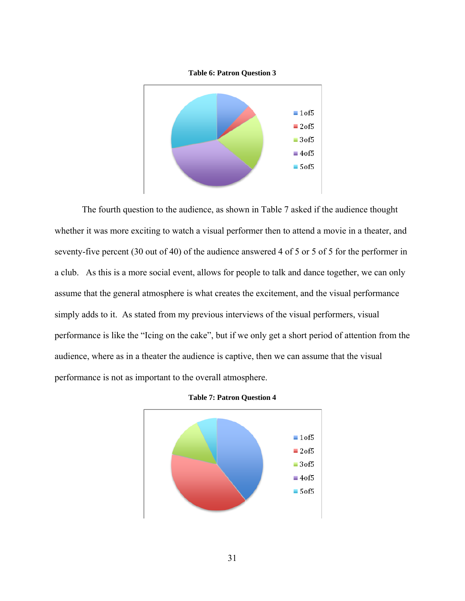

<span id="page-39-0"></span>

 The fourth question to the audience, as shown in Table 7 asked if the audience thought whether it was more exciting to watch a visual performer then to attend a movie in a theater, and seventy-five percent (30 out of 40) of the audience answered 4 of 5 or 5 of 5 for the performer in a club. As this is a more social event, allows for people to talk and dance together, we can only assume that the general atmosphere is what creates the excitement, and the visual performance simply adds to it. As stated from my previous interviews of the visual performers, visual performance is like the "Icing on the cake", but if we only get a short period of attention from the audience, where as in a theater the audience is captive, then we can assume that the visual performance is not as important to the overall atmosphere.



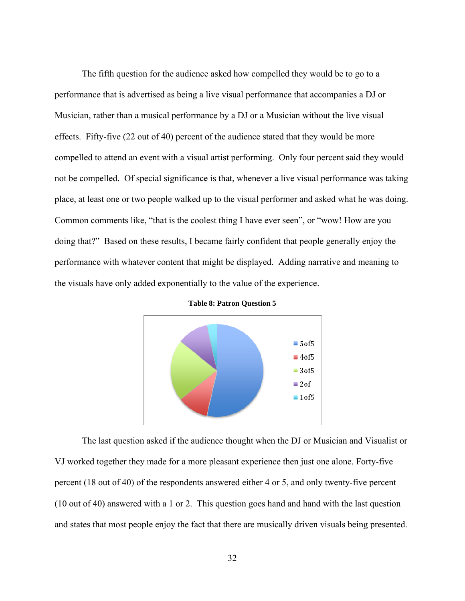<span id="page-40-0"></span> The fifth question for the audience asked how compelled they would be to go to a performance that is advertised as being a live visual performance that accompanies a DJ or Musician, rather than a musical performance by a DJ or a Musician without the live visual effects. Fifty-five (22 out of 40) percent of the audience stated that they would be more compelled to attend an event with a visual artist performing. Only four percent said they would not be compelled. Of special significance is that, whenever a live visual performance was taking place, at least one or two people walked up to the visual performer and asked what he was doing. Common comments like, "that is the coolest thing I have ever seen", or "wow! How are you doing that?" Based on these results, I became fairly confident that people generally enjoy the performance with whatever content that might be displayed. Adding narrative and meaning to the visuals have only added exponentially to the value of the experience.



**Table 8: Patron Question 5** 

 The last question asked if the audience thought when the DJ or Musician and Visualist or VJ worked together they made for a more pleasant experience then just one alone. Forty-five percent (18 out of 40) of the respondents answered either 4 or 5, and only twenty-five percent (10 out of 40) answered with a 1 or 2. This question goes hand and hand with the last question and states that most people enjoy the fact that there are musically driven visuals being presented.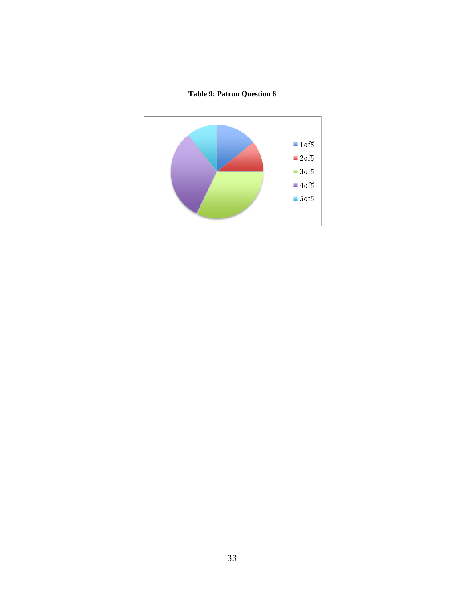# **Table 9: Patron Question 6**

<span id="page-41-0"></span>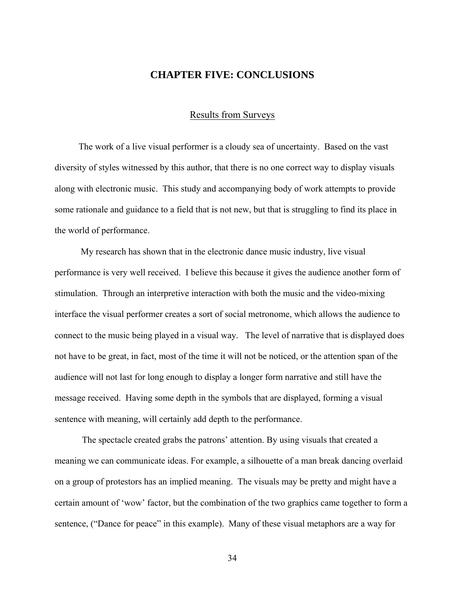## **CHAPTER FIVE: CONCLUSIONS**

#### Results from Surveys

<span id="page-42-0"></span>The work of a live visual performer is a cloudy sea of uncertainty. Based on the vast diversity of styles witnessed by this author, that there is no one correct way to display visuals along with electronic music. This study and accompanying body of work attempts to provide some rationale and guidance to a field that is not new, but that is struggling to find its place in the world of performance.

 My research has shown that in the electronic dance music industry, live visual performance is very well received. I believe this because it gives the audience another form of stimulation. Through an interpretive interaction with both the music and the video-mixing interface the visual performer creates a sort of social metronome, which allows the audience to connect to the music being played in a visual way. The level of narrative that is displayed does not have to be great, in fact, most of the time it will not be noticed, or the attention span of the audience will not last for long enough to display a longer form narrative and still have the message received. Having some depth in the symbols that are displayed, forming a visual sentence with meaning, will certainly add depth to the performance.

 The spectacle created grabs the patrons' attention. By using visuals that created a meaning we can communicate ideas. For example, a silhouette of a man break dancing overlaid on a group of protestors has an implied meaning. The visuals may be pretty and might have a certain amount of 'wow' factor, but the combination of the two graphics came together to form a sentence, ("Dance for peace" in this example). Many of these visual metaphors are a way for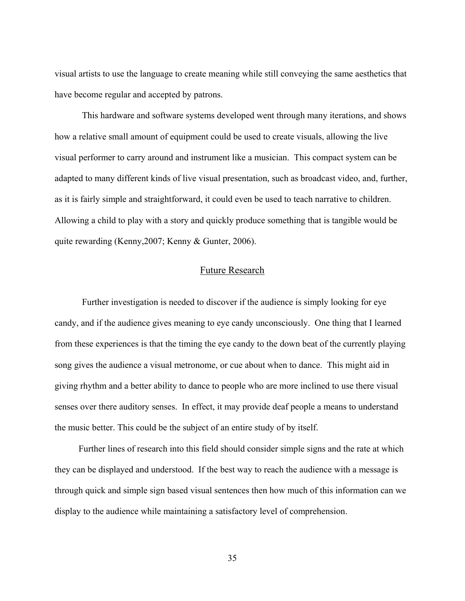<span id="page-43-0"></span>visual artists to use the language to create meaning while still conveying the same aesthetics that have become regular and accepted by patrons.

This hardware and software systems developed went through many iterations, and shows how a relative small amount of equipment could be used to create visuals, allowing the live visual performer to carry around and instrument like a musician. This compact system can be adapted to many different kinds of live visual presentation, such as broadcast video, and, further, as it is fairly simple and straightforward, it could even be used to teach narrative to children. Allowing a child to play with a story and quickly produce something that is tangible would be quite rewarding (Kenny,2007; Kenny & Gunter, 2006).

#### Future Research

 Further investigation is needed to discover if the audience is simply looking for eye candy, and if the audience gives meaning to eye candy unconsciously. One thing that I learned from these experiences is that the timing the eye candy to the down beat of the currently playing song gives the audience a visual metronome, or cue about when to dance. This might aid in giving rhythm and a better ability to dance to people who are more inclined to use there visual senses over there auditory senses. In effect, it may provide deaf people a means to understand the music better. This could be the subject of an entire study of by itself.

Further lines of research into this field should consider simple signs and the rate at which they can be displayed and understood. If the best way to reach the audience with a message is through quick and simple sign based visual sentences then how much of this information can we display to the audience while maintaining a satisfactory level of comprehension.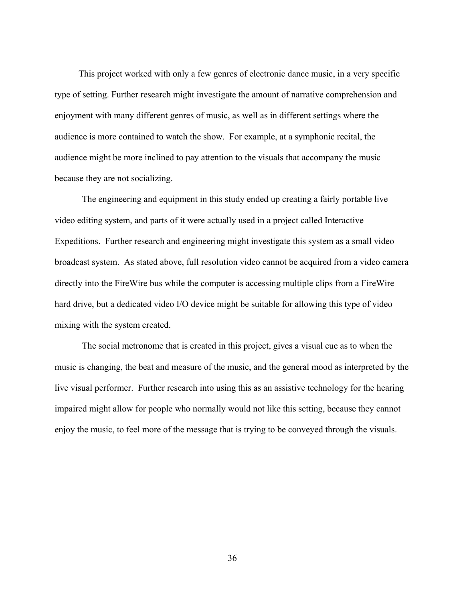This project worked with only a few genres of electronic dance music, in a very specific type of setting. Further research might investigate the amount of narrative comprehension and enjoyment with many different genres of music, as well as in different settings where the audience is more contained to watch the show. For example, at a symphonic recital, the audience might be more inclined to pay attention to the visuals that accompany the music because they are not socializing.

The engineering and equipment in this study ended up creating a fairly portable live video editing system, and parts of it were actually used in a project called Interactive Expeditions. Further research and engineering might investigate this system as a small video broadcast system. As stated above, full resolution video cannot be acquired from a video camera directly into the FireWire bus while the computer is accessing multiple clips from a FireWire hard drive, but a dedicated video I/O device might be suitable for allowing this type of video mixing with the system created.

 The social metronome that is created in this project, gives a visual cue as to when the music is changing, the beat and measure of the music, and the general mood as interpreted by the live visual performer. Further research into using this as an assistive technology for the hearing impaired might allow for people who normally would not like this setting, because they cannot enjoy the music, to feel more of the message that is trying to be conveyed through the visuals.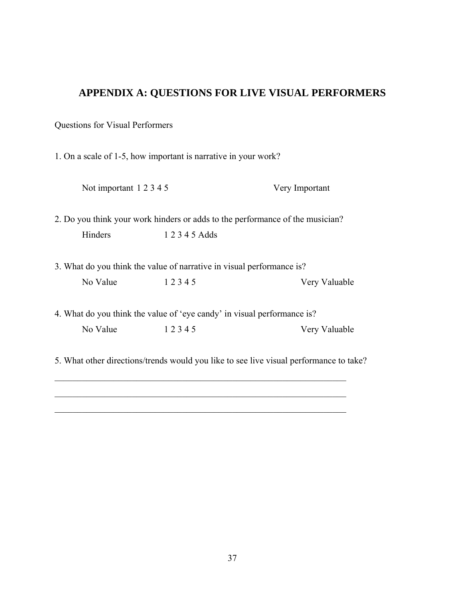# <span id="page-45-0"></span>**APPENDIX A: QUESTIONS FOR LIVE VISUAL PERFORMERS**

Questions for Visual Performers

1. On a scale of 1-5, how important is narrative in your work?

Not important 1 2 3 4 5 Very Important

2. Do you think your work hinders or adds to the performance of the musician? Hinders 1 2 3 4 5 Adds

3. What do you think the value of narrative in visual performance is? No Value 1 2 3 4 5 Very Valuable

4. What do you think the value of 'eye candy' in visual performance is? No Value 1 2 3 4 5 Very Valuable

5. What other directions/trends would you like to see live visual performance to take?

\_\_\_\_\_\_\_\_\_\_\_\_\_\_\_\_\_\_\_\_\_\_\_\_\_\_\_\_\_\_\_\_\_\_\_\_\_\_\_\_\_\_\_\_\_\_\_\_\_\_\_\_\_\_\_\_\_\_\_\_\_\_\_\_

\_\_\_\_\_\_\_\_\_\_\_\_\_\_\_\_\_\_\_\_\_\_\_\_\_\_\_\_\_\_\_\_\_\_\_\_\_\_\_\_\_\_\_\_\_\_\_\_\_\_\_\_\_\_\_\_\_\_\_\_\_\_\_\_

 $\mathcal{L}_\text{max}$  , and the contribution of the contribution of the contribution of the contribution of the contribution of the contribution of the contribution of the contribution of the contribution of the contribution of t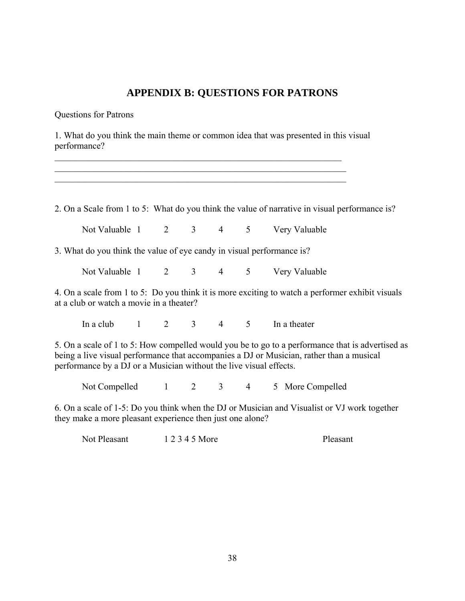# **APPENDIX B: QUESTIONS FOR PATRONS**

<span id="page-46-0"></span>Questions for Patrons

1. What do you think the main theme or common idea that was presented in this visual performance?

\_\_\_\_\_\_\_\_\_\_\_\_\_\_\_\_\_\_\_\_\_\_\_\_\_\_\_\_\_\_\_\_\_\_\_\_\_\_\_\_\_\_\_\_\_\_\_\_\_\_\_\_\_\_\_\_\_\_\_\_\_\_\_ \_\_\_\_\_\_\_\_\_\_\_\_\_\_\_\_\_\_\_\_\_\_\_\_\_\_\_\_\_\_\_\_\_\_\_\_\_\_\_\_\_\_\_\_\_\_\_\_\_\_\_\_\_\_\_\_\_\_\_\_\_\_\_\_ \_\_\_\_\_\_\_\_\_\_\_\_\_\_\_\_\_\_\_\_\_\_\_\_\_\_\_\_\_\_\_\_\_\_\_\_\_\_\_\_\_\_\_\_\_\_\_\_\_\_\_\_\_\_\_\_\_\_\_\_\_\_\_\_

2. On a Scale from 1 to 5: What do you think the value of narrative in visual performance is?

Not Valuable 1 2 3 4 5 Very Valuable

3. What do you think the value of eye candy in visual performance is?

Not Valuable 1 2 3 4 5 Very Valuable

4. On a scale from 1 to 5: Do you think it is more exciting to watch a performer exhibit visuals at a club or watch a movie in a theater?

In a club  $1 \t 2 \t 3 \t 4 \t 5 \t 1$  a theater

5. On a scale of 1 to 5: How compelled would you be to go to a performance that is advertised as being a live visual performance that accompanies a DJ or Musician, rather than a musical performance by a DJ or a Musician without the live visual effects.

Not Compelled 1 2 3 4 5 More Compelled

6. On a scale of 1-5: Do you think when the DJ or Musician and Visualist or VJ work together they make a more pleasant experience then just one alone?

Not Pleasant 1 2 3 4 5 More Pleasant Pleasant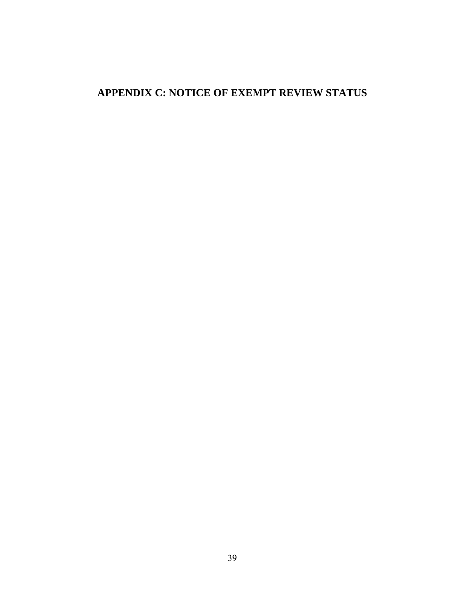# <span id="page-47-0"></span>**APPENDIX C: NOTICE OF EXEMPT REVIEW STATUS**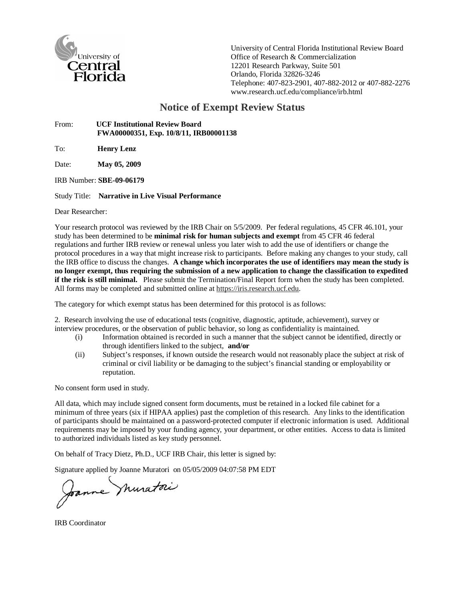

University of Central Florida Institutional Review Board Office of Research & Commercialization 12201 Research Parkway, Suite 501 Orlando, Florida 32826-3246 Telephone: 407-823-2901, 407-882-2012 or 407-882-2276 www.research.ucf.edu/compliance/irb.html

# **Notice of Exempt Review Status**

#### From: **UCF Institutional Review Board FWA00000351, Exp. 10/8/11, IRB00001138**

To: **Henry Lenz**

Date: **May 05, 2009**

IRB Number: **SBE-09-06179** 

Study Title: **Narrative in Live Visual Performance**

Dear Researcher:

Your research protocol was reviewed by the IRB Chair on 5/5/2009. Per federal regulations, 45 CFR 46.101, your study has been determined to be **minimal risk for human subjects and exempt** from 45 CFR 46 federal regulations and further IRB review or renewal unless you later wish to add the use of identifiers or change the protocol procedures in a way that might increase risk to participants. Before making any changes to your study, call the IRB office to discuss the changes. **A change which incorporates the use of identifiers may mean the study is no longer exempt, thus requiring the submission of a new application to change the classification to expedited if the risk is still minimal.** Please submit the Termination/Final Report form when the study has been completed. All forms may be completed and submitted online at https://iris.research.ucf.edu.

The category for which exempt status has been determined for this protocol is as follows:

2. Research involving the use of educational tests (cognitive, diagnostic, aptitude, achievement), survey or interview procedures, or the observation of public behavior, so long as confidentiality is maintained.

- (i) Information obtained is recorded in such a manner that the subject cannot be identified, directly or through identifiers linked to the subject, **and/or**
- (ii) Subject's responses, if known outside the research would not reasonably place the subject at risk of criminal or civil liability or be damaging to the subject's financial standing or employability or reputation.

No consent form used in study.

All data, which may include signed consent form documents, must be retained in a locked file cabinet for a minimum of three years (six if HIPAA applies) past the completion of this research. Any links to the identification of participants should be maintained on a password-protected computer if electronic information is used. Additional requirements may be imposed by your funding agency, your department, or other entities. Access to data is limited to authorized individuals listed as key study personnel.

On behalf of Tracy Dietz, Ph.D., UCF IRB Chair, this letter is signed by:

Signature applied by Joanne Muratori on 05/05/2009 04:07:58 PM EDT<br>Joanne Muratori

IRB Coordinator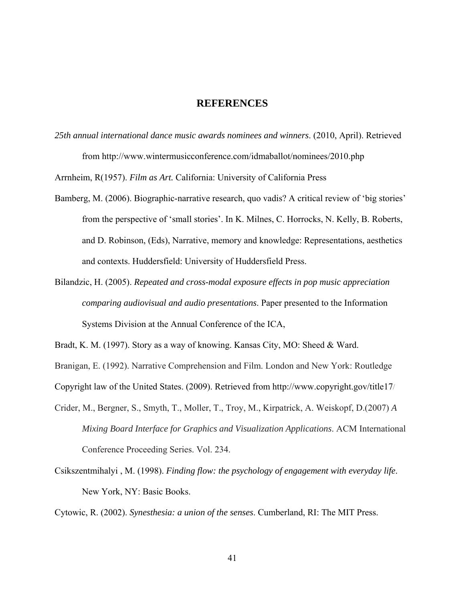#### **REFERENCES**

<span id="page-49-0"></span>*25th annual international dance music awards nominees and winners*. (2010, April). Retrieved from http://www.wintermusicconference.com/idmaballot/nominees/2010.php

Arrnheim, R(1957). *Film as Art.* California: University of California Press

- Bamberg, M. (2006). Biographic-narrative research, quo vadis? A critical review of 'big stories' from the perspective of 'small stories'. In K. Milnes, C. Horrocks, N. Kelly, B. Roberts, and D. Robinson, (Eds), Narrative, memory and knowledge: Representations, aesthetics and contexts. Huddersfield: University of Huddersfield Press.
- Bilandzic, H. (2005). *Repeated and cross-modal exposure effects in pop music appreciation comparing audiovisual and audio presentations*. Paper presented to the Information Systems Division at the Annual Conference of the ICA,

Copyright law of the United States. (2009). Retrieved from http://www.copyright.gov/title17/

- Crider, M., Bergner, S., Smyth, T., Moller, T., Troy, M., Kirpatrick, A. Weiskopf, D.(2007) *A Mixing Board Interface for Graphics and Visualization Applications*. ACM International Conference Proceeding Series. Vol. 234.
- Csikszentmihalyi , M. (1998). *Finding flow: the psychology of engagement with everyday life*. New York, NY: Basic Books.

Cytowic, R. (2002). *Synesthesia: a union of the senses*. Cumberland, RI: The MIT Press.

Bradt, K. M. (1997). Story as a way of knowing. Kansas City, MO: Sheed & Ward.

Branigan, E. (1992). Narrative Comprehension and Film. London and New York: Routledge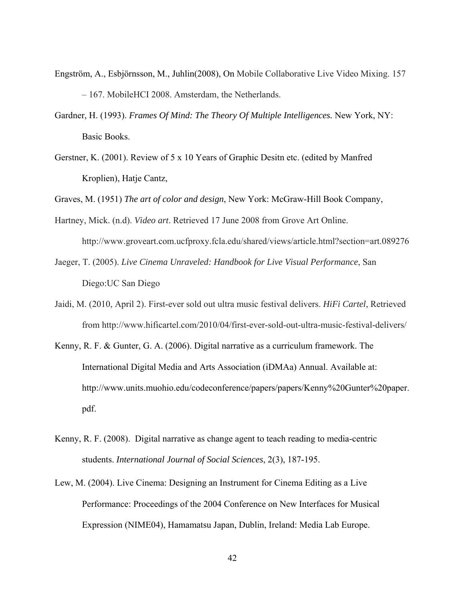- Engström, A., Esbjörnsson, M., Juhlin(2008), On Mobile Collaborative Live Video Mixing. 157 – 167. MobileHCI 2008. Amsterdam, the Netherlands.
- Gardner, H. (1993). *Frames Of Mind: The Theory Of Multiple Intelligences.* New York, NY: Basic Books.
- Gerstner, K. (2001). Review of 5 x 10 Years of Graphic Desitn etc. (edited by Manfred Kroplien), Hatje Cantz,

Graves, M. (1951) *The art of color and design*, New York: McGraw-Hill Book Company,

- Hartney, Mick. (n.d). *Video art*. Retrieved 17 June 2008 from Grove Art Online. http://www.groveart.com.ucfproxy.fcla.edu/shared/views/article.html?section=art.089276
- Jaeger, T. (2005). *Live Cinema Unraveled: Handbook for Live Visual Performance*, San Diego:UC San Diego
- Jaidi, M. (2010, April 2). First-ever sold out ultra music festival delivers. *HiFi Cartel*, Retrieved from http://www.hificartel.com/2010/04/first-ever-sold-out-ultra-music-festival-delivers/
- Kenny, R. F. & Gunter, G. A. (2006). Digital narrative as a curriculum framework. The International Digital Media and Arts Association (iDMAa) Annual. Available at: http://www.units.muohio.edu/codeconference/papers/papers/Kenny%20Gunter%20paper. pdf.
- Kenny, R. F. (2008). Digital narrative as change agent to teach reading to media-centric students. *International Journal of Social Sciences*, 2(3), 187-195.
- Lew, M. (2004). Live Cinema: Designing an Instrument for Cinema Editing as a Live Performance: Proceedings of the 2004 Conference on New Interfaces for Musical Expression (NIME04), Hamamatsu Japan, Dublin, Ireland: Media Lab Europe.